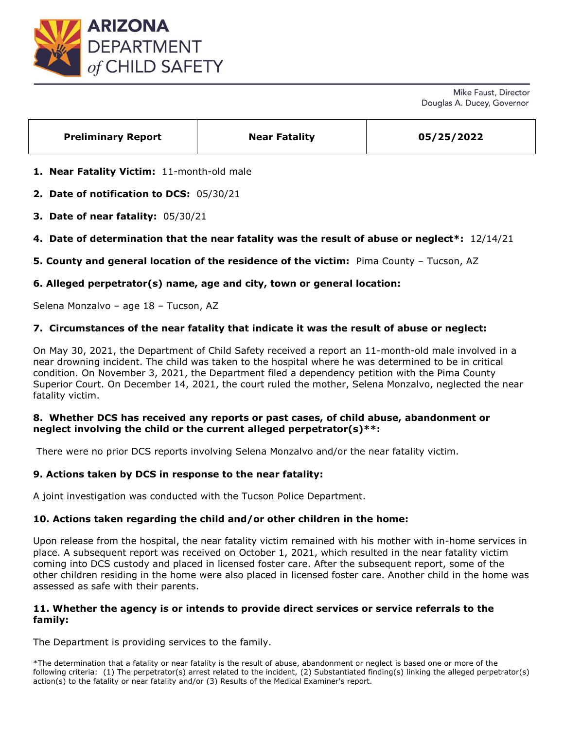

Mike Faust, Director Douglas A. Ducey, Governor

| <b>Preliminary Report</b> | <b>Near Fatality</b> | 05/25/2022 |
|---------------------------|----------------------|------------|
|                           |                      |            |

**1. Near Fatality Victim:** 11-month-old male

**2. Date of notification to DCS:** 05/30/21

- **3. Date of near fatality:** 05/30/21
- **4. Date of determination that the near fatality was the result of abuse or neglect\*:** 12/14/21

**5. County and general location of the residence of the victim:** Pima County – Tucson, AZ

# **6. Alleged perpetrator(s) name, age and city, town or general location:**

Selena Monzalvo – age 18 – Tucson, AZ

# **7. Circumstances of the near fatality that indicate it was the result of abuse or neglect:**

On May 30, 2021, the Department of Child Safety received a report an 11-month-old male involved in a near drowning incident. The child was taken to the hospital where he was determined to be in critical condition. On November 3, 2021, the Department filed a dependency petition with the Pima County Superior Court. On December 14, 2021, the court ruled the mother, Selena Monzalvo, neglected the near fatality victim.

# **8. Whether DCS has received any reports or past cases, of child abuse, abandonment or neglect involving the child or the current alleged perpetrator(s)\*\*:**

There were no prior DCS reports involving Selena Monzalvo and/or the near fatality victim.

## **9. Actions taken by DCS in response to the near fatality:**

A joint investigation was conducted with the Tucson Police Department.

## **10. Actions taken regarding the child and/or other children in the home:**

Upon release from the hospital, the near fatality victim remained with his mother with in-home services in place. A subsequent report was received on October 1, 2021, which resulted in the near fatality victim coming into DCS custody and placed in licensed foster care. After the subsequent report, some of the other children residing in the home were also placed in licensed foster care. Another child in the home was assessed as safe with their parents.

# **11. Whether the agency is or intends to provide direct services or service referrals to the family:**

The Department is providing services to the family.

\*The determination that a fatality or near fatality is the result of abuse, abandonment or neglect is based one or more of the following criteria: (1) The perpetrator(s) arrest related to the incident, (2) Substantiated finding(s) linking the alleged perpetrator(s) action(s) to the fatality or near fatality and/or (3) Results of the Medical Examiner's report.